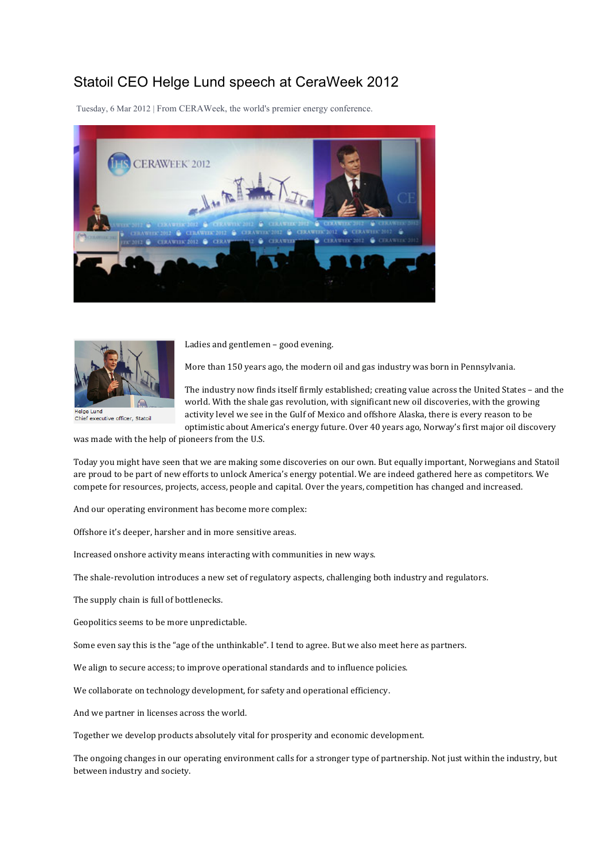## Statoil CEO Helge Lund speech at CeraWeek 2012

Tuesday, 6 Mar 2012 | From CERAWeek, the world's premier energy conference.





Ladies and gentlemen - good evening.

More than 150 years ago, the modern oil and gas industry was born in Pennsylvania.

Chief executive officer, Statoil

The industry now finds itself firmly established; creating value across the United States - and the world. With the shale gas revolution, with significant new oil discoveries, with the growing activity level we see in the Gulf of Mexico and offshore Alaska, there is every reason to be optimistic about America's energy future. Over 40 years ago, Norway's first major oil discovery

was made with the help of pioneers from the U.S.

Today you might have seen that we are making some discoveries on our own. But equally important, Norwegians and Statoil are proud to be part of new efforts to unlock America's energy potential. We are indeed gathered here as competitors. We compete for resources, projects, access, people and capital. Over the years, competition has changed and increased.

And our operating environment has become more complex:

Offshore it's deeper, harsher and in more sensitive areas.

Increased onshore activity means interacting with communities in new ways.

The shale-revolution introduces a new set of regulatory aspects, challenging both industry and regulators.

The supply chain is full of bottlenecks.

Geopolitics seems to be more unpredictable.

Some even say this is the "age of the unthinkable". I tend to agree. But we also meet here as partners.

We align to secure access; to improve operational standards and to influence policies.

We collaborate on technology development, for safety and operational efficiency.

And we partner in licenses across the world.

Together we develop products absolutely vital for prosperity and economic development.

The ongoing changes in our operating environment calls for a stronger type of partnership. Not just within the industry, but between industry and society.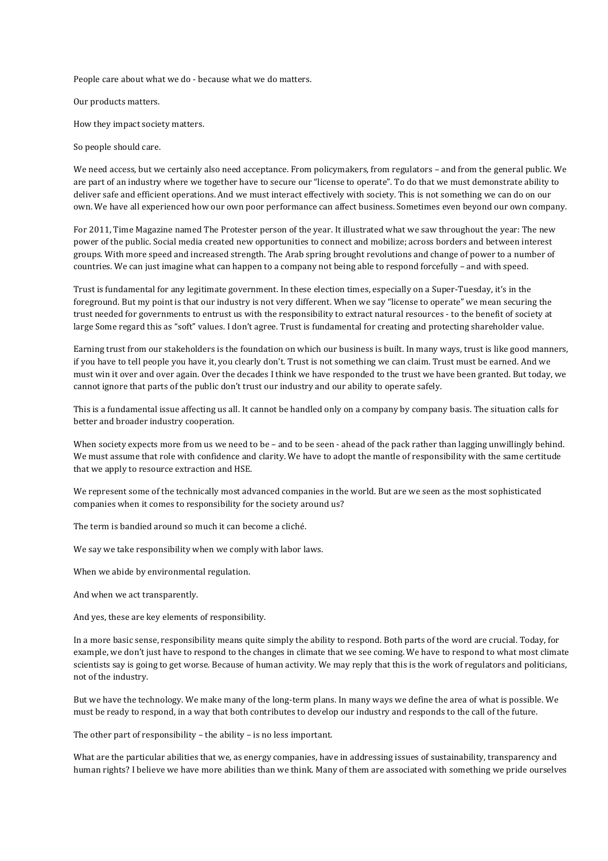People care about what we do - because what we do matters.

Our products matters.

How they impact society matters.

So people should care.

We need access, but we certainly also need acceptance. From policymakers, from regulators – and from the general public. We are part of an industry where we together have to secure our "license to operate". To do that we must demonstrate ability to deliver safe and efficient operations. And we must interact effectively with society. This is not something we can do on our own. We have all experienced how our own poor performance can affect business. Sometimes even beyond our own company.

For 2011, Time Magazine named The Protester person of the year. It illustrated what we saw throughout the year: The new power of the public. Social media created new opportunities to connect and mobilize; across borders and between interest groups. With more speed and increased strength. The Arab spring brought revolutions and change of power to a number of countries. We can just imagine what can happen to a company not being able to respond forcefully – and with speed.

Trust is fundamental for any legitimate government. In these election times, especially on a Super-Tuesday, it's in the foreground. But my point is that our industry is not very different. When we say "license to operate" we mean securing the trust needed for governments to entrust us with the responsibility to extract natural resources - to the benefit of society at large Some regard this as "soft" values. I don't agree. Trust is fundamental for creating and protecting shareholder value.

Earning trust from our stakeholders is the foundation on which our business is built. In many ways, trust is like good manners, if you have to tell people you have it, you clearly don't. Trust is not something we can claim. Trust must be earned. And we must win it over and over again. Over the decades I think we have responded to the trust we have been granted. But today, we cannot ignore that parts of the public don't trust our industry and our ability to operate safely.

This is a fundamental issue affecting us all. It cannot be handled only on a company by company basis. The situation calls for better and broader industry cooperation.

When society expects more from us we need to be – and to be seen - ahead of the pack rather than lagging unwillingly behind. We must assume that role with confidence and clarity. We have to adopt the mantle of responsibility with the same certitude that we apply to resource extraction and HSE.

We represent some of the technically most advanced companies in the world. But are we seen as the most sophisticated companies when it comes to responsibility for the society around us?

The term is bandied around so much it can become a cliché.

We say we take responsibility when we comply with labor laws.

When we abide by environmental regulation.

And when we act transparently.

And yes, these are key elements of responsibility.

In a more basic sense, responsibility means quite simply the ability to respond. Both parts of the word are crucial. Today, for example, we don't just have to respond to the changes in climate that we see coming. We have to respond to what most climate scientists say is going to get worse. Because of human activity. We may reply that this is the work of regulators and politicians, not of the industry.

But we have the technology. We make many of the long-term plans. In many ways we define the area of what is possible. We must be ready to respond, in a way that both contributes to develop our industry and responds to the call of the future.

The other part of responsibility – the ability – is no less important.

What are the particular abilities that we, as energy companies, have in addressing issues of sustainability, transparency and human rights? I believe we have more abilities than we think. Many of them are associated with something we pride ourselves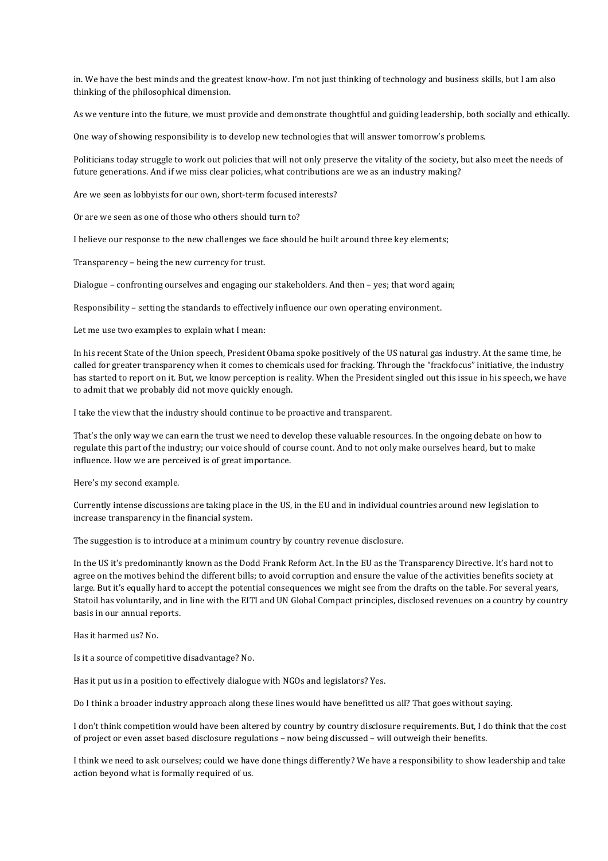in. We have the best minds and the greatest know-how. I'm not just thinking of technology and business skills, but I am also thinking of the philosophical dimension.

As we venture into the future, we must provide and demonstrate thoughtful and guiding leadership, both socially and ethically.

One way of showing responsibility is to develop new technologies that will answer tomorrow's problems.

Politicians today struggle to work out policies that will not only preserve the vitality of the society, but also meet the needs of future generations. And if we miss clear policies, what contributions are we as an industry making?

Are we seen as lobbyists for our own, short-term focused interests?

Or are we seen as one of those who others should turn to?

I believe our response to the new challenges we face should be built around three key elements;

Transparency - being the new currency for trust.

Dialogue - confronting ourselves and engaging our stakeholders. And then - yes; that word again;

Responsibility - setting the standards to effectively influence our own operating environment.

Let me use two examples to explain what I mean:

In his recent State of the Union speech, President Obama spoke positively of the US natural gas industry. At the same time, he called for greater transparency when it comes to chemicals used for fracking. Through the "frackfocus" initiative, the industry has started to report on it. But, we know perception is reality. When the President singled out this issue in his speech, we have to admit that we probably did not move quickly enough.

I take the view that the industry should continue to be proactive and transparent.

That's the only way we can earn the trust we need to develop these valuable resources. In the ongoing debate on how to regulate this part of the industry; our voice should of course count. And to not only make ourselves heard, but to make influence. How we are perceived is of great importance.

Here's my second example.

Currently intense discussions are taking place in the US, in the EU and in individual countries around new legislation to increase transparency in the financial system.

The suggestion is to introduce at a minimum country by country revenue disclosure.

In the US it's predominantly known as the Dodd Frank Reform Act. In the EU as the Transparency Directive. It's hard not to agree on the motives behind the different bills; to avoid corruption and ensure the value of the activities benefits society at large. But it's equally hard to accept the potential consequences we might see from the drafts on the table. For several years, Statoil has voluntarily, and in line with the EITI and UN Global Compact principles, disclosed revenues on a country by country basis in our annual reports.

Has it harmed us? No.

Is it a source of competitive disadvantage? No.

Has it put us in a position to effectively dialogue with NGOs and legislators? Yes.

Do I think a broader industry approach along these lines would have benefitted us all? That goes without saying.

I don't think competition would have been altered by country by country disclosure requirements. But, I do think that the cost of project or even asset based disclosure regulations - now being discussed - will outweigh their benefits.

I think we need to ask ourselves; could we have done things differently? We have a responsibility to show leadership and take action beyond what is formally required of us.